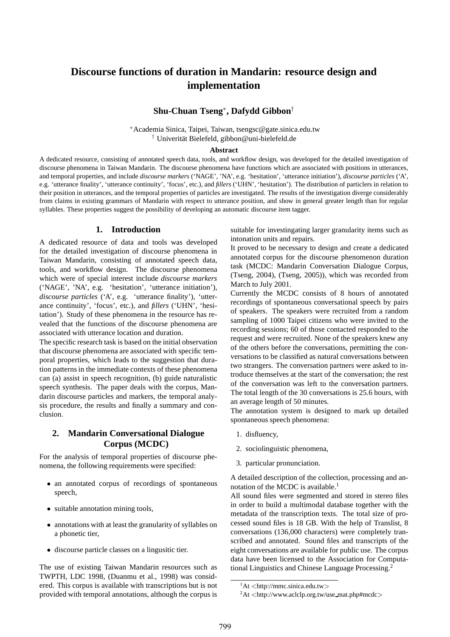# **Discourse functions of duration in Mandarin: resource design and implementation**

## **Shu-Chuan Tseng**<sup>∗</sup> **, Dafydd Gibbon**†

<sup>∗</sup>Academia Sinica, Taipei, Taiwan, tsengsc@gate.sinica.edu.tw <sup>†</sup> Univerität Bielefeld, gibbon@uni-bielefeld.de

#### **Abstract**

A dedicated resource, consisting of annotated speech data, tools, and workflow design, was developed for the detailed investigation of discourse phenomena in Taiwan Mandarin. The discourse phenomena have functions which are associated with positions in utterances, and temporal properties, and include *discourse markers* ('NAGE', 'NA', e.g. 'hesitation', 'utterance initiation'), *discourse particles* ('A', e.g. 'utterance finality', 'utterance continuity', 'focus', etc.), and *fillers* ('UHN', 'hesitation'). The distribution of particlers in relation to their position in utterances, and the temporal properties of particles are investigated. The results of the investigation diverge considerably from claims in existing grammars of Mandarin with respect to utterance position, and show in general greater length than for regular syllables. These properties suggest the possibility of developing an automatic discourse item tagger.

#### **1. Introduction**

A dedicated resource of data and tools was developed for the detailed investigation of discourse phenomena in Taiwan Mandarin, consisting of annotated speech data, tools, and workflow design. The discourse phenomena which were of special interest include *discourse markers* ('NAGE', 'NA', e.g. 'hesitation', 'utterance initiation'), *discourse particles* ('A', e.g. 'utterance finality'), 'utterance continuity', 'focus', etc.), and *fillers* ('UHN', 'hesitation'). Study of these phenomena in the resource has revealed that the functions of the discourse phenomena are associated with utterance location and duration.

The specific research task is based on the initial observation that discourse phenomena are associated with specific temporal properties, which leads to the suggestion that duration patterns in the immediate contexts of these phenomena can (a) assist in speech recognition, (b) guide naturalistic speech synthesis. The paper deals with the corpus, Mandarin discourse particles and markers, the temporal analysis procedure, the results and finally a summary and conclusion.

### **2. Mandarin Conversational Dialogue Corpus (MCDC)**

For the analysis of temporal properties of discourse phenomena, the following requirements were specified:

- an annotated corpus of recordings of spontaneous speech,
- suitable annotation mining tools,
- annotations with at least the granularity of syllables on a phonetic tier,
- discourse particle classes on a lingusitic tier.

The use of existing Taiwan Mandarin resources such as TWPTH, LDC 1998, (Duanmu et al., 1998) was considered. This corpus is available with transcriptions but is not provided with temporal annotations, although the corpus is

suitable for investingating larger granularity items such as intonation units and repairs.

It proved to be necessary to design and create a dedicated annotated corpus for the discourse phenomenon duration task (MCDC: Mandarin Conversation Dialogue Corpus, (Tseng, 2004), (Tseng, 2005)), which was recorded from March to July 2001.

Currently the MCDC consists of 8 hours of annotated recordings of spontaneous conversational speech by pairs of speakers. The speakers were recruited from a random sampling of 1000 Taipei citizens who were invited to the recording sessions; 60 of those contacted responded to the request and were recruited. None of the speakers knew any of the others before the conversations, permitting the conversations to be classified as natural conversations between two strangers. The conversation partners were asked to introduce themselves at the start of the conversation; the rest of the conversation was left to the conversation partners. The total length of the 30 conversations is 25.6 hours, with an average length of 50 minutes.

The annotation system is designed to mark up detailed spontaneous speech phenomena:

- 1. disfluency,
- 2. sociolinguistic phenomena,
- 3. particular pronunciation.

A detailed description of the collection, processing and annotation of the MCDC is available.<sup>1</sup>

All sound files were segmented and stored in stereo files in order to build a multimodal database together with the metadata of the transcription texts. The total size of processed sound files is 18 GB. With the help of Translist, 8 conversations (136,000 characters) were completely transcribed and annotated. Sound files and transcripts of the eight conversations are available for public use. The corpus data have been licensed to the Association for Computational Linguistics and Chinese Language Processing.<sup>2</sup>

 $1$ At  $\lt$ http://mmc.sinica.edu.tw $>$ 

 $^{2}$ At  $\lt$ http://www.aclclp.org.tw/use\_mat.php#mcdc $>$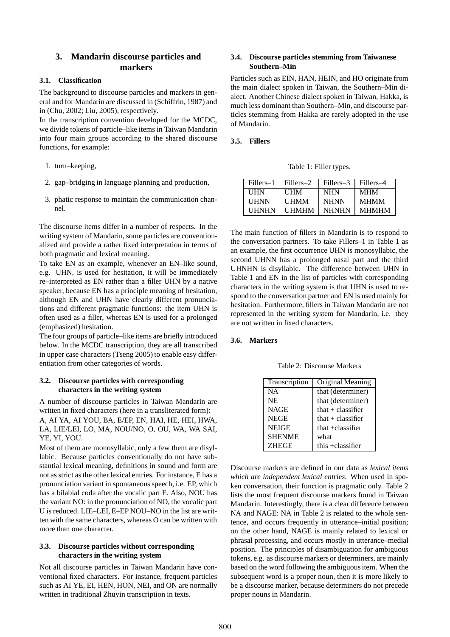## **3. Mandarin discourse particles and markers**

#### **3.1. Classification**

The background to discourse particles and markers in general and for Mandarin are discussed in (Schiffrin, 1987) and in (Chu, 2002; Liu, 2005), respectively.

In the transcription convention developed for the MCDC, we divide tokens of particle–like items in Taiwan Mandarin into four main groups according to the shared discourse functions, for example:

- 1. turn–keeping,
- 2. gap–bridging in language planning and production,
- 3. phatic response to maintain the communication channel.

The discourse items differ in a number of respects. In the writing system of Mandarin, some particles are conventionalized and provide a rather fixed interpretation in terms of both pragmatic and lexical meaning.

To take EN as an example, whenever an EN–like sound, e.g. UHN, is used for hesitation, it will be immediately re–interpreted as EN rather than a filler UHN by a native speaker, because EN has a principle meaning of hesitation, although EN and UHN have clearly different pronunciations and different pragmatic functions: the item UHN is often used as a filler, whereas EN is used for a prolonged (emphasized) hesitation.

The four groups of particle–like items are briefly introduced below. In the MCDC transcription, they are all transcribed in upper case characters (Tseng 2005) to enable easy differentiation from other categories of words.

#### **3.2. Discourse particles with corresponding characters in the writing system**

A number of discourse particles in Taiwan Mandarin are written in fixed characters (here in a transliterated form): A, AI YA, AI YOU, BA, E/EP, EN, HAI, HE, HEI, HWA, LA, LIE/LEI, LO, MA, NOU/NO, O, OU, WA, WA SAI, YE, YI, YOU.

Most of them are monosyllabic, only a few them are disyllabic. Because particles conventionally do not have substantial lexical meaning, definitions in sound and form are not as strict as the other lexical entries. For instance, E has a pronunciation variant in spontaneous speech, i.e. EP, which has a bilabial coda after the vocalic part E. Also, NOU has the variant NO: in the pronunciation of NO, the vocalic part U is reduced. LIE–LEI, E–EP NOU–NO in the list are written with the same characters, whereas O can be written with more than one character.

#### **3.3. Discourse particles without corresponding characters in the writing system**

Not all discourse particles in Taiwan Mandarin have conventional fixed characters. For instance, frequent particles such as AI YE, EI, HEN, HON, NEI, and ON are normally written in traditional Zhuyin transcription in texts.

#### **3.4. Discourse particles stemming from Taiwanese Southern–Min**

Particles such as EIN, HAN, HEIN, and HO originate from the main dialect spoken in Taiwan, the Southern–Min dialect. Another Chinese dialect spoken in Taiwan, Hakka, is much less dominant than Southern–Min, and discourse particles stemming from Hakka are rarely adopted in the use of Mandarin.

#### **3.5. Fillers**

Table 1: Filler types.

| Fillers–1    | Fillers–2    | Fillers-3    | Fillers–4    |
|--------------|--------------|--------------|--------------|
| UHN          | <b>UHM</b>   | <b>NHN</b>   | <b>MHM</b>   |
| <b>UHNN</b>  | UHMM         | <b>NHNN</b>  | <b>MHMM</b>  |
| <b>UHNHN</b> | <b>UHMHM</b> | <b>NHNHN</b> | <b>MHMHM</b> |

The main function of fillers in Mandarin is to respond to the conversation partners. To take Fillers–1 in Table 1 as an example, the first occurrence UHN is monosyllabic, the second UHNN has a prolonged nasal part and the third UHNHN is disyllabic. The difference between UHN in Table 1 and EN in the list of particles with corresponding characters in the writing system is that UHN is used to respond to the conversation partner and EN is used mainly for hesitation. Furthermore, fillers in Taiwan Mandarin are not represented in the writing system for Mandarin, i.e. they are not written in fixed characters.

#### **3.6. Markers**

Table 2: Discourse Markers

| Transcription | Original Meaning    |  |  |
|---------------|---------------------|--|--|
| <b>NA</b>     | that (determiner)   |  |  |
| <b>NE</b>     | that (determiner)   |  |  |
| <b>NAGE</b>   | that $+$ classifier |  |  |
| <b>NEGE</b>   | that $+$ classifier |  |  |
| <b>NEIGE</b>  | that $+classifier$  |  |  |
| <b>SHENME</b> | what                |  |  |
| <b>ZHEGE</b>  | this $+classifier$  |  |  |

Discourse markers are defined in our data as *lexical items which are independent lexical entries*. When used in spoken conversation, their function is pragmatic only. Table 2 lists the most frequent discourse markers found in Taiwan Mandarin. Interestingly, there is a clear difference between NA and NAGE: NA in Table 2 is related to the whole sentence, and occurs frequently in utterance–initial position; on the other hand, NAGE is mainly related to lexical or phrasal processing, and occurs mostly in utterance–medial position. The principles of disambiguation for ambiguous tokens, e.g. as discourse markers or determiners, are mainly based on the word following the ambiguous item. When the subsequent word is a proper noun, then it is more likely to be a discourse marker, because determiners do not precede proper nouns in Mandarin.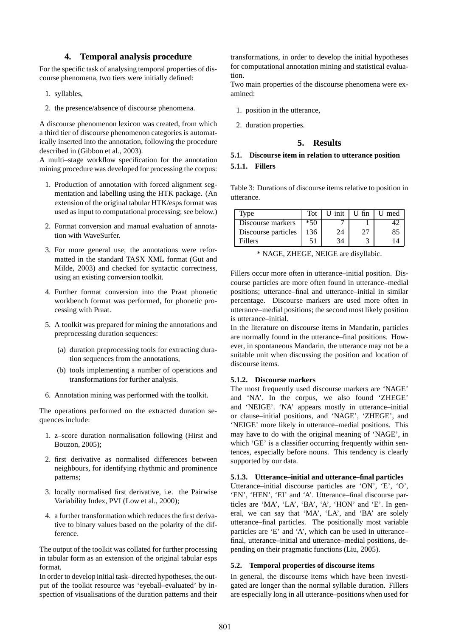### **4. Temporal analysis procedure**

For the specific task of analysing temporal properties of discourse phenomena, two tiers were initially defined:

- 1. syllables,
- 2. the presence/absence of discourse phenomena.

A discourse phenomenon lexicon was created, from which a third tier of discourse phenomenon categories is automatically inserted into the annotation, following the procedure described in (Gibbon et al., 2003).

A multi–stage workflow specification for the annotation mining procedure was developed for processing the corpus:

- 1. Production of annotation with forced alignment segmentation and labelling using the HTK package. (An extension of the original tabular HTK/esps format was used as input to computational processing; see below.)
- 2. Format conversion and manual evaluation of annotation with WaveSurfer.
- 3. For more general use, the annotations were reformatted in the standard TASX XML format (Gut and Milde, 2003) and checked for syntactic correctness, using an existing conversion toolkit.
- 4. Further format conversion into the Praat phonetic workbench format was performed, for phonetic processing with Praat.
- 5. A toolkit was prepared for mining the annotations and preprocessing duration sequences:
	- (a) duration preprocessing tools for extracting duration sequences from the annotations,
	- (b) tools implementing a number of operations and transformations for further analysis.
- 6. Annotation mining was performed with the toolkit.

The operations performed on the extracted duration sequences include:

- 1. z–score duration normalisation following (Hirst and Bouzon, 2005);
- 2. first derivative as normalised differences between neighbours, for identifying rhythmic and prominence patterns;
- 3. locally normalised first derivative, i.e. the Pairwise Variability Index, PVI (Low et al., 2000);
- 4. a further transformation which reduces the first derivative to binary values based on the polarity of the difference.

The output of the toolkit was collated for further processing in tabular form as an extension of the original tabular esps format.

In order to develop initial task–directed hypotheses, the output of the toolkit resource was 'eyeball–evaluated' by inspection of visualisations of the duration patterns and their transformations, in order to develop the initial hypotheses for computational annotation mining and statistical evaluation.

Two main properties of the discourse phenomena were examined:

- 1. position in the utterance,
- 2. duration properties.

### **5. Results**

## **5.1. Discourse item in relation to utterance position 5.1.1. Fillers**

Table 3: Durations of discourse items relative to position in utterance.

| Iype                | Tot   | U_init | $U_f$ fin | U_med |
|---------------------|-------|--------|-----------|-------|
| Discourse markers   | $*50$ |        |           |       |
| Discourse particles | 136   | 24     | 27        | 85    |
| Fillers             |       | 34     |           |       |

\* NAGE, ZHEGE, NEIGE are disyllabic.

Fillers occur more often in utterance–initial position. Discourse particles are more often found in utterance–medial positions; utterance–final and utterance–initial in similar percentage. Discourse markers are used more often in utterance–medial positions; the second most likely position is utterance–initial.

In the literature on discourse items in Mandarin, particles are normally found in the utterance–final positions. However, in spontaneous Mandarin, the utterance may not be a suitable unit when discussing the position and location of discourse items.

#### **5.1.2. Discourse markers**

The most frequently used discourse markers are 'NAGE' and 'NA'. In the corpus, we also found 'ZHEGE' and 'NEIGE'. 'NA' appears mostly in utterance–initial or clause–initial positions, and 'NAGE', 'ZHEGE', and 'NEIGE' more likely in utterance–medial positions. This may have to do with the original meaning of 'NAGE', in which 'GE' is a classifier occurring frequently within sentences, especially before nouns. This tendency is clearly supported by our data.

#### **5.1.3. Utterance–initial and utterance–final particles**

Utterance–initial discourse particles are 'ON', 'E', 'O', 'EN', 'HEN', 'EI' and 'A'. Utterance–final discourse particles are 'MA', 'LA', 'BA', 'A', 'HON' and 'E'. In general, we can say that 'MA', 'LA', and 'BA' are solely utterance–final particles. The positionally most variable particles are 'E' and 'A', which can be used in utterance– final, utterance–initial and utterance–medial positions, depending on their pragmatic functions (Liu, 2005).

#### **5.2. Temporal properties of discourse items**

In general, the discourse items which have been investigated are longer than the normal syllable duration. Fillers are especially long in all utterance–positions when used for